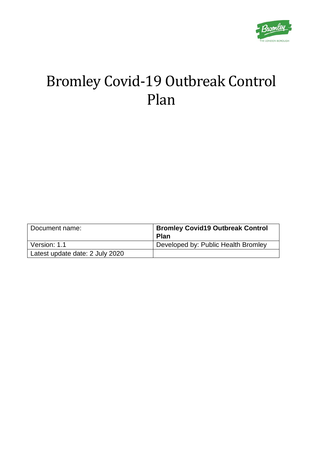

# Bromley Covid-19 Outbreak Control Plan

| Document name:                  | <b>Bromley Covid19 Outbreak Control</b><br><b>Plan</b> |
|---------------------------------|--------------------------------------------------------|
| Version: 1.1                    | Developed by: Public Health Bromley                    |
| Latest update date: 2 July 2020 |                                                        |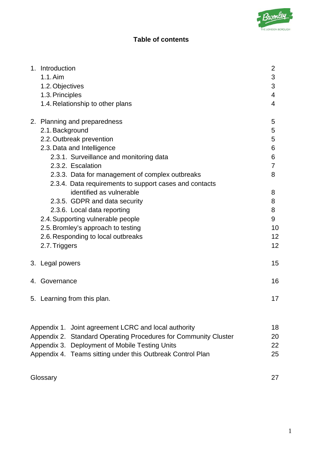# **Table of contents**

| 1. Introduction<br>$1.1.$ Aim<br>1.2. Objectives<br>1.3. Principles<br>1.4. Relationship to other plans                                                                                                                                                                                                                                                                                                                                                                                                              | $\overline{2}$<br>3<br>3<br>4<br>4                                    |
|----------------------------------------------------------------------------------------------------------------------------------------------------------------------------------------------------------------------------------------------------------------------------------------------------------------------------------------------------------------------------------------------------------------------------------------------------------------------------------------------------------------------|-----------------------------------------------------------------------|
| 2. Planning and preparedness<br>2.1. Background<br>2.2. Outbreak prevention<br>2.3. Data and Intelligence<br>2.3.1. Surveillance and monitoring data<br>2.3.2. Escalation<br>2.3.3. Data for management of complex outbreaks<br>2.3.4. Data requirements to support cases and contacts<br>identified as vulnerable<br>2.3.5. GDPR and data security<br>2.3.6. Local data reporting<br>2.4. Supporting vulnerable people<br>2.5. Bromley's approach to testing<br>2.6. Responding to local outbreaks<br>2.7. Triggers | 5<br>5<br>5<br>6<br>6<br>7<br>8<br>8<br>8<br>8<br>9<br>10<br>12<br>12 |
| 3. Legal powers                                                                                                                                                                                                                                                                                                                                                                                                                                                                                                      | 15                                                                    |
| 4. Governance                                                                                                                                                                                                                                                                                                                                                                                                                                                                                                        | 16                                                                    |
| 5. Learning from this plan.                                                                                                                                                                                                                                                                                                                                                                                                                                                                                          | 17                                                                    |
| Appendix 1. Joint agreement LCRC and local authority<br>Appendix 2. Standard Operating Procedures for Community Cluster<br>Appendix 3. Deployment of Mobile Testing Units<br>Appendix 4. Teams sitting under this Outbreak Control Plan                                                                                                                                                                                                                                                                              | 18<br>20<br>22<br>25                                                  |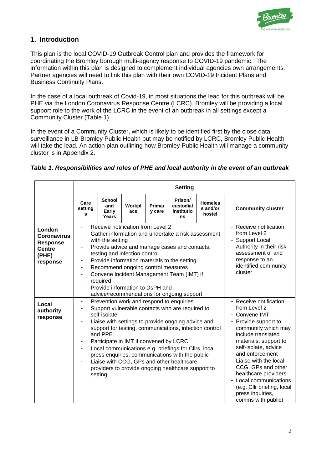

# **1. Introduction**

This plan is the local COVID-19 Outbreak Control plan and provides the framework for coordinating the Bromley borough multi-agency response to COVID-19 pandemic. The information within this plan is designed to complement individual agencies own arrangements. Partner agencies will need to link this plan with their own COVID-19 Incident Plans and Business Continuity Plans.

In the case of a local outbreak of Covid-19, in most situations the lead for this outbreak will be PHE via the London Coronavirus Response Centre (LCRC). Bromley will be providing a local support role to the work of the LCRC in the event of an outbreak in all settings except a Community Cluster (Table 1).

In the event of a Community Cluster, which is likely to be identified first by the close data surveillance in LB Bromley Public Health but may be notified by LCRC, Bromley Public Health will take the lead. An action plan outlining how Bromley Public Health will manage a community cluster is in Appendix 2.

|                                                                                       | Care<br>setting<br>s                                                                                                                                                                                                                                                                                                                                                                                                                                                                                                                                                          | School<br>and<br>Early<br>Years                                                                                                                                                                                                                                                                                                                                                                                                                                                               | Workpl<br>ace                                          | Primar<br>y care                                                                                                                                                                                                                                                                                                                                                            | Prison/<br>custodial<br>institutio<br><b>ns</b> | <b>Homeles</b><br>s and/or<br>hostel | <b>Community cluster</b> |
|---------------------------------------------------------------------------------------|-------------------------------------------------------------------------------------------------------------------------------------------------------------------------------------------------------------------------------------------------------------------------------------------------------------------------------------------------------------------------------------------------------------------------------------------------------------------------------------------------------------------------------------------------------------------------------|-----------------------------------------------------------------------------------------------------------------------------------------------------------------------------------------------------------------------------------------------------------------------------------------------------------------------------------------------------------------------------------------------------------------------------------------------------------------------------------------------|--------------------------------------------------------|-----------------------------------------------------------------------------------------------------------------------------------------------------------------------------------------------------------------------------------------------------------------------------------------------------------------------------------------------------------------------------|-------------------------------------------------|--------------------------------------|--------------------------|
| London<br><b>Coronavirus</b><br><b>Response</b><br><b>Centre</b><br>(PHE)<br>response | Receive notification from Level 2<br>- Receive notification<br>from Level 2<br>Gather information and undertake a risk assessment<br>- Support Local<br>with the setting<br>Authority in their risk<br>Provide advice and manage cases and contacts,<br>$\overline{\phantom{a}}$<br>assessment of and<br>testing and infection control<br>response to an<br>Provide information materials to the setting<br>identified community<br>Recommend ongoing control measures<br>cluster<br>Convene Incident Management Team (IMT) if<br>required<br>Provide information to DsPH and |                                                                                                                                                                                                                                                                                                                                                                                                                                                                                               |                                                        |                                                                                                                                                                                                                                                                                                                                                                             |                                                 |                                      |                          |
| Local<br>authority<br>response                                                        | $\overline{\phantom{a}}$                                                                                                                                                                                                                                                                                                                                                                                                                                                                                                                                                      | advice/recommendations for ongoing support<br>Prevention work and respond to enquiries<br>Support vulnerable contacts who are required to<br>self-isolate<br>Liaise with settings to provide ongoing advice and<br>and PPE<br>Participate in IMT if convened by LCRC<br>Local communications e.g. briefings for Cllrs, local<br>press enquiries, communications with the public<br>Liaise with CCG, GPs and other healthcare<br>providers to provide ongoing healthcare support to<br>setting | support for testing, communications, infection control | - Receive notification<br>from Level 2<br>- Convene IMT<br>- Provide support to<br>community which may<br>include translated<br>materials, support to<br>self-isolate, advice<br>and enforcement<br>- Liaise with the local<br>CCG, GPs and other<br>healthcare providers<br>- Local communications<br>(e.g. Cllr briefing, local<br>press inquiries,<br>comms with public) |                                                 |                                      |                          |

#### *Table 1. Responsibilities and roles of PHE and local authority in the event of an outbreak*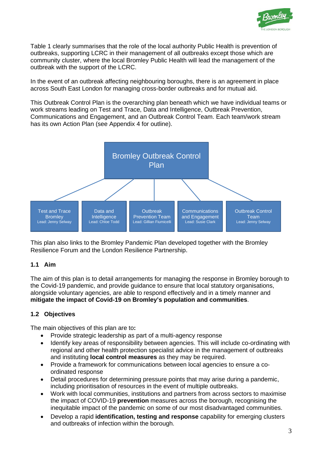

Table 1 clearly summarises that the role of the local authority Public Health is prevention of outbreaks, supporting LCRC in their management of all outbreaks except those which are community cluster, where the local Bromley Public Health will lead the management of the outbreak with the support of the LCRC.

In the event of an outbreak affecting neighbouring boroughs, there is an agreement in place across South East London for managing cross-border outbreaks and for mutual aid.

This Outbreak Control Plan is the overarching plan beneath which we have individual teams or work streams leading on Test and Trace, Data and Intelligence, Outbreak Prevention, Communications and Engagement, and an Outbreak Control Team. Each team/work stream has its own Action Plan (see Appendix 4 for outline).



This plan also links to the Bromley Pandemic Plan developed together with the Bromley Resilience Forum and the London Resilience Partnership.

#### **1.1 Aim**

The aim of this plan is to detail arrangements for managing the response in Bromley borough to the Covid-19 pandemic, and provide guidance to ensure that local statutory organisations, alongside voluntary agencies, are able to respond effectively and in a timely manner and **mitigate the impact of Covid-19 on Bromley's population and communities**.

### **1.2 Objectives**

The main objectives of this plan are to**:**

- Provide strategic leadership as part of a multi-agency response
- Identify key areas of responsibility between agencies. This will include co-ordinating with regional and other health protection specialist advice in the management of outbreaks and instituting **local control measures** as they may be required.
- Provide a framework for communications between local agencies to ensure a coordinated response
- Detail procedures for determining pressure points that may arise during a pandemic, including prioritisation of resources in the event of multiple outbreaks.
- Work with local communities, institutions and partners from across sectors to maximise the impact of COVID-19 **prevention** measures across the borough, recognising the inequitable impact of the pandemic on some of our most disadvantaged communities.
- Develop a rapid **identification, testing and response** capability for emerging clusters and outbreaks of infection within the borough.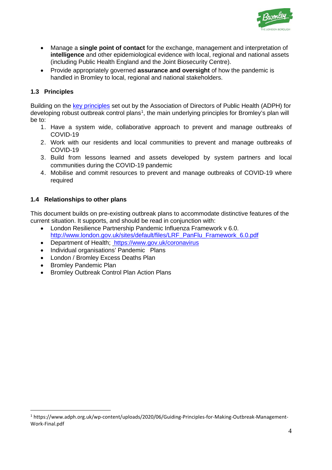

- Manage a **single point of contact** for the exchange, management and interpretation of **intelligence** and other epidemiological evidence with local, regional and national assets (including Public Health England and the Joint Biosecurity Centre).
- Provide appropriately governed **assurance and oversight** of how the pandemic is handled in Bromley to local, regional and national stakeholders.

### **1.3 Principles**

Building on the [key principles](https://www.adph.org.uk/wp-content/uploads/2020/06/Guiding-Principles-for-Making-Outbreak-Management-Work-Final.pdf) set out by the Association of Directors of Public Health (ADPH) for developing robust outbreak control plans<sup>[1](#page-4-0)</sup>, the main underlying principles for Bromley's plan will be to:

- 1. Have a system wide, collaborative approach to prevent and manage outbreaks of COVID-19
- 2. Work with our residents and local communities to prevent and manage outbreaks of COVID-19
- 3. Build from lessons learned and assets developed by system partners and local communities during the COVID-19 pandemic
- 4. Mobilise and commit resources to prevent and manage outbreaks of COVID-19 where required

### **1.4 Relationships to other plans**

This document builds on pre-existing outbreak plans to accommodate distinctive features of the current situation. It supports, and should be read in conjunction with:

- London Resilience Partnership Pandemic Influenza Framework v 6.0. [http://www.london.gov.uk/sites/default/files/LRF\\_PanFlu\\_Framework\\_6.0.pdf](http://www.london.gov.uk/sites/default/files/LRF_PanFlu_Framework_6.0.pdf)
- Department of Health: <https://www.gov.uk/coronavirus>
- Individual organisations' Pandemic Plans
- London / Bromley Excess Deaths Plan
- Bromley Pandemic Plan
- Bromley Outbreak Control Plan Action Plans

<span id="page-4-0"></span><sup>1</sup> https://www.adph.org.uk/wp-content/uploads/2020/06/Guiding-Principles-for-Making-Outbreak-Management-Work-Final.pdf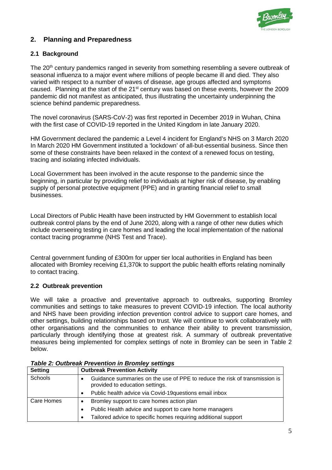

# **2. Planning and Preparedness**

#### **2.1 Background**

The 20<sup>th</sup> century pandemics ranged in severity from something resembling a severe outbreak of seasonal influenza to a major event where millions of people became ill and died. They also varied with respect to a number of waves of disease, age groups affected and symptoms caused. Planning at the start of the 21st century was based on these events, however the 2009 pandemic did not manifest as anticipated, thus illustrating the uncertainty underpinning the science behind pandemic preparedness.

The novel coronavirus (SARS-CoV-2) was first reported in December 2019 in Wuhan, China with the first case of COVID-19 reported in the United Kingdom in late January 2020.

HM Government declared the pandemic a Level 4 incident for England's NHS on 3 March 2020 In March 2020 HM Government instituted a 'lockdown' of all-but-essential business. Since then some of these constraints have been relaxed in the context of a renewed focus on testing, tracing and isolating infected individuals.

Local Government has been involved in the acute response to the pandemic since the beginning, in particular by providing relief to individuals at higher risk of disease, by enabling supply of personal protective equipment (PPE) and in granting financial relief to small businesses.

Local Directors of Public Health have been instructed by HM Government to establish local outbreak control plans by the end of June 2020, along with a range of other new duties which include overseeing testing in care homes and leading the local implementation of the national contact tracing programme (NHS Test and Trace).

Central government funding of £300m for upper tier local authorities in England has been allocated with Bromley receiving £1,370k to support the public health efforts relating nominally to contact tracing.

#### **2.2 Outbreak prevention**

We will take a proactive and preventative approach to outbreaks, supporting Bromley communities and settings to take measures to prevent COVID-19 infection. The local authority and NHS have been providing infection prevention control advice to support care homes, and other settings, building relationships based on trust. We will continue to work collaboratively with other organisations and the communities to enhance their ability to prevent transmission, particularly through identifying those at greatest risk. A summary of outbreak preventative measures being implemented for complex settings of note in Bromley can be seen in Table 2 below.

| <b>Setting</b> | <b>Outbreak Prevention Activity</b>                                                                           |  |  |  |
|----------------|---------------------------------------------------------------------------------------------------------------|--|--|--|
| Schools        | Guidance summaries on the use of PPE to reduce the risk of transmission is<br>provided to education settings. |  |  |  |
|                | Public health advice via Covid-19questions email inbox<br>$\bullet$                                           |  |  |  |
| Care Homes     | Bromley support to care homes action plan                                                                     |  |  |  |
|                | Public Health advice and support to care home managers<br>$\bullet$                                           |  |  |  |
|                | Tailored advice to specific homes requiring additional support                                                |  |  |  |

# *Table 2: Outbreak Prevention in Bromley settings*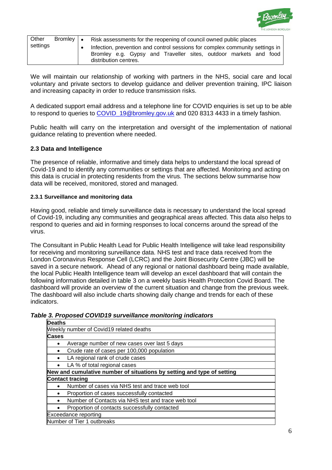

| Other    | Bromley   • | Risk assessments for the reopening of council owned public places                                                                                                         |  |  |  |  |  |  |  |  |  |
|----------|-------------|---------------------------------------------------------------------------------------------------------------------------------------------------------------------------|--|--|--|--|--|--|--|--|--|
| settings |             | Infection, prevention and control sessions for complex community settings in<br>Bromley e.g. Gypsy and Traveller sites, outdoor markets and food<br>distribution centres. |  |  |  |  |  |  |  |  |  |

We will maintain our relationship of working with partners in the NHS, social care and local voluntary and private sectors to develop guidance and deliver prevention training, IPC liaison and increasing capacity in order to reduce transmission risks.

A dedicated support email address and a telephone line for COVID enquiries is set up to be able to respond to queries to COVID 19@bromley.gov.uk and 020 8313 4433 in a timely fashion.

Public health will carry on the interpretation and oversight of the implementation of national guidance relating to prevention where needed.

#### **2.3 Data and Intelligence**

The presence of reliable, informative and timely data helps to understand the local spread of Covid-19 and to identify any communities or settings that are affected. Monitoring and acting on this data is crucial in protecting residents from the virus. The sections below summarise how data will be received, monitored, stored and managed.

#### **2.3.1 Surveillance and monitoring data**

Having good, reliable and timely surveillance data is necessary to understand the local spread of Covid-19, including any communities and geographical areas affected. This data also helps to respond to queries and aid in forming responses to local concerns around the spread of the virus.

The Consultant in Public Health Lead for Public Health Intelligence will take lead responsibility for receiving and monitoring surveillance data. NHS test and trace data received from the London Coronavirus Response Cell (LCRC) and the Joint Biosecurity Centre (JBC) will be saved in a secure network. Ahead of any regional or national dashboard being made available, the local Public Health Intelligence team will develop an excel dashboard that will contain the following information detailed in table 3 on a weekly basis Health Protection Covid Board. The dashboard will provide an overview of the current situation and change from the previous week. The dashboard will also include charts showing daily change and trends for each of these indicators.

#### *Table 3. Proposed COVID19 surveillance monitoring indicators*

| <b>Deaths</b>                                                          |
|------------------------------------------------------------------------|
| Weekly number of Covid19 related deaths                                |
| <b>Cases</b>                                                           |
| Average number of new cases over last 5 days<br>٠                      |
| Crude rate of cases per 100,000 population                             |
| LA regional rank of crude cases                                        |
| LA % of total regional cases<br>٠                                      |
| New and cumulative number of situations by setting and type of setting |
| <b>Contact tracing</b>                                                 |
| Number of cases via NHS test and trace web tool                        |
| Proportion of cases successfully contacted                             |
| Number of Contacts via NHS test and trace web tool                     |
| Proportion of contacts successfully contacted                          |
| Exceedance reporting                                                   |
| Number of Tier 1 outbreaks                                             |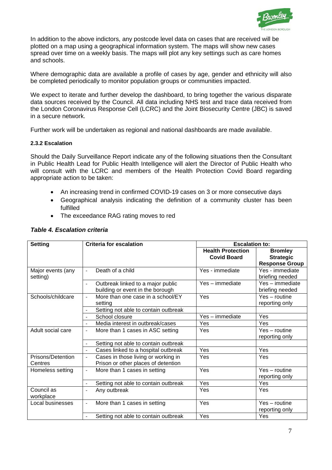

In addition to the above indictors, any postcode level data on cases that are received will be plotted on a map using a geographical information system. The maps will show new cases spread over time on a weekly basis. The maps will plot any key settings such as care homes and schools.

Where demographic data are available a profile of cases by age, gender and ethnicity will also be completed periodically to monitor population groups or communities impacted.

We expect to iterate and further develop the dashboard, to bring together the various disparate data sources received by the Council. All data including NHS test and trace data received from the London Coronavirus Response Cell (LCRC) and the Joint Biosecurity Centre (JBC) is saved in a secure network.

Further work will be undertaken as regional and national dashboards are made available.

#### **2.3.2 Escalation**

Should the Daily Surveillance Report indicate any of the following situations then the Consultant in Public Health Lead for Public Health Intelligence will alert the Director of Public Health who will consult with the LCRC and members of the Health Protection Covid Board regarding appropriate action to be taken:

- An increasing trend in confirmed COVID-19 cases on 3 or more consecutive days
- Geographical analysis indicating the definition of a community cluster has been fulfilled
- The exceedance RAG rating moves to red

| <b>Setting</b>    | <b>Criteria for escalation</b>                                | <b>Escalation to:</b>    |                       |  |  |
|-------------------|---------------------------------------------------------------|--------------------------|-----------------------|--|--|
|                   |                                                               | <b>Health Protection</b> | <b>Bromley</b>        |  |  |
|                   |                                                               | <b>Covid Board</b>       | <b>Strategic</b>      |  |  |
|                   |                                                               |                          | <b>Response Group</b> |  |  |
| Major events (any | Death of a child<br>$\overline{a}$                            | Yes - immediate          | Yes - immediate       |  |  |
| setting)          |                                                               |                          | briefing needed       |  |  |
|                   | Outbreak linked to a major public<br>$\overline{\phantom{a}}$ | Yes - immediate          | Yes - immediate       |  |  |
|                   | building or event in the borough                              |                          | briefing needed       |  |  |
| Schools/childcare | More than one case in a school/EY                             | Yes                      | $Yes - routine$       |  |  |
|                   | setting                                                       |                          | reporting only        |  |  |
|                   | Setting not able to contain outbreak                          |                          |                       |  |  |
|                   | School closure                                                | Yes - immediate          | Yes                   |  |  |
|                   | Media interest in outbreak/cases<br>$\blacksquare$            | Yes                      | Yes                   |  |  |
| Adult social care | More than 1 cases in ASC setting<br>$\overline{\phantom{a}}$  | Yes                      | $Yes - routine$       |  |  |
|                   |                                                               |                          | reporting only        |  |  |
|                   | Setting not able to contain outbreak                          |                          |                       |  |  |
|                   | Cases linked to a hospital outbreak<br>$\equiv$               | Yes                      | Yes                   |  |  |
| Prisons/Detention | Cases in those living or working in<br>$\overline{a}$         | Yes                      | Yes                   |  |  |
| Centres           | Prison or other places of detention                           |                          |                       |  |  |
| Homeless setting  | More than 1 cases in setting<br>$\blacksquare$                | Yes                      | $Yes - routine$       |  |  |
|                   |                                                               |                          | reporting only        |  |  |
|                   | Setting not able to contain outbreak<br>$\blacksquare$        | Yes                      | Yes                   |  |  |
| Council as        | Any outbreak<br>$\overline{\phantom{0}}$                      | Yes                      | Yes                   |  |  |
| workplace         |                                                               |                          |                       |  |  |
| Local businesses  | More than 1 cases in setting<br>$\blacksquare$                | Yes                      | $Yes - routine$       |  |  |
|                   |                                                               |                          | reporting only        |  |  |
|                   | Setting not able to contain outbreak                          | Yes                      | Yes                   |  |  |

#### *Table 4. Escalation criteria*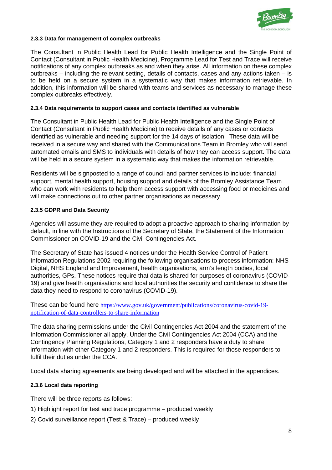

#### **2.3.3 Data for management of complex outbreaks**

The Consultant in Public Health Lead for Public Health Intelligence and the Single Point of Contact (Consultant in Public Health Medicine), Programme Lead for Test and Trace will receive notifications of any complex outbreaks as and when they arise. All information on these complex outbreaks – including the relevant setting, details of contacts, cases and any actions taken – is to be held on a secure system in a systematic way that makes information retrievable. In addition, this information will be shared with teams and services as necessary to manage these complex outbreaks effectively.

#### **2.3.4 Data requirements to support cases and contacts identified as vulnerable**

The Consultant in Public Health Lead for Public Health Intelligence and the Single Point of Contact (Consultant in Public Health Medicine) to receive details of any cases or contacts identified as vulnerable and needing support for the 14 days of isolation. These data will be received in a secure way and shared with the Communications Team in Bromley who will send automated emails and SMS to individuals with details of how they can access support. The data will be held in a secure system in a systematic way that makes the information retrievable.

Residents will be signposted to a range of council and partner services to include: financial support, mental health support, housing support and details of the Bromley Assistance Team who can work with residents to help them access support with accessing food or medicines and will make connections out to other partner organisations as necessary.

#### **2.3.5 GDPR and Data Security**

Agencies will assume they are required to adopt a proactive approach to sharing information by default, in line with the Instructions of the Secretary of State, the Statement of the Information Commissioner on COVID-19 and the Civil Contingencies Act.

The Secretary of State has issued 4 notices under the Health Service Control of Patient Information Regulations 2002 requiring the following organisations to process information: NHS Digital, NHS England and Improvement, health organisations, arm's length bodies, local authorities, GPs. These notices require that data is shared for purposes of coronavirus (COVID-19) and give health organisations and local authorities the security and confidence to share the data they need to respond to coronavirus (COVID-19).

These can be found here [https://www.gov.uk/government/publications/coronavirus-covid-19](https://www.gov.uk/government/publications/coronavirus-covid-19-notification-of-data-controllers-to-share-information) [notification-of-data-controllers-to-share-information](https://www.gov.uk/government/publications/coronavirus-covid-19-notification-of-data-controllers-to-share-information)

The data sharing permissions under the Civil Contingencies Act 2004 and the statement of the Information Commissioner all apply. Under the Civil Contingencies Act 2004 (CCA) and the Contingency Planning Regulations, Category 1 and 2 responders have a duty to share information with other Category 1 and 2 responders. This is required for those responders to fulfil their duties under the CCA.

Local data sharing agreements are being developed and will be attached in the appendices.

#### **2.3.6 Local data reporting**

There will be three reports as follows:

- 1) Highlight report for test and trace programme produced weekly
- 2) Covid surveillance report (Test & Trace) produced weekly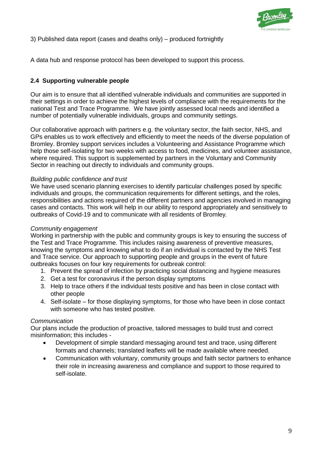

3) Published data report (cases and deaths only) – produced fortnightly

A data hub and response protocol has been developed to support this process.

### **2.4 Supporting vulnerable people**

Our aim is to ensure that all identified vulnerable individuals and communities are supported in their settings in order to achieve the highest levels of compliance with the requirements for the national Test and Trace Programme. We have jointly assessed local needs and identified a number of potentially vulnerable individuals, groups and community settings.

Our collaborative approach with partners e.g. the voluntary sector, the faith sector, NHS, and GPs enables us to work effectively and efficiently to meet the needs of the diverse population of Bromley. Bromley support services includes a Volunteering and Assistance Programme which help those self-isolating for two weeks with access to food, medicines, and volunteer assistance, where required. This support is supplemented by partners in the Voluntary and Community Sector in reaching out directly to individuals and community groups.

#### *Building public confidence and trust*

We have used scenario planning exercises to identify particular challenges posed by specific individuals and groups, the communication requirements for different settings, and the roles, responsibilities and actions required of the different partners and agencies involved in managing cases and contacts. This work will help in our ability to respond appropriately and sensitively to outbreaks of Covid-19 and to communicate with all residents of Bromley*.*

#### *Community engagement*

Working in partnership with the public and community groups is key to ensuring the success of the Test and Trace Programme. This includes raising awareness of preventive measures, knowing the symptoms and knowing what to do if an individual is contacted by the NHS Test and Trace service. Our approach to supporting people and groups in the event of future outbreaks focuses on four key requirements for outbreak control:

- 1. Prevent the spread of infection by practicing social distancing and hygiene measures
- 2. Get a test for coronavirus if the person display symptoms
- 3. Help to trace others if the individual tests positive and has been in close contact with other people
- 4. Self-isolate for those displaying symptoms, for those who have been in close contact with someone who has tested positive.

#### *Communication*

Our plans include the production of proactive, tailored messages to build trust and correct misinformation; this includes -

- Development of simple standard messaging around test and trace, using different formats and channels; translated leaflets will be made available where needed.
- Communication with voluntary, community groups and faith sector partners to enhance their role in increasing awareness and compliance and support to those required to self-isolate.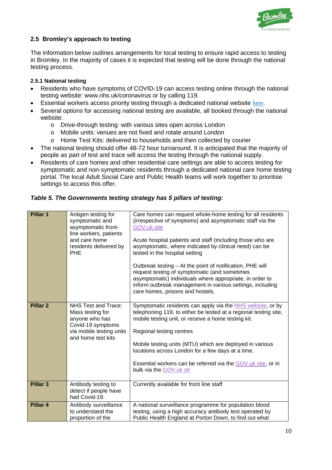

### **2.5 Bromley's approach to testing**

The information below outlines arrangements for local testing to ensure rapid access to testing in Bromley. In the majority of cases it is expected that testing will be done through the national testing process.

#### **2.5.1 National testing**

- Residents who have symptoms of COVID-19 can access testing online through the national testing website: www.nhs.uk/coronavirus or by calling 119.
- Essential workers access priority testing through a dedicated national website [here.](https://www.gov.uk/guidance/coronavirus-covid-19-getting-tested#self-referral)
- Several options for accessing national testing are available, all booked through the national website:
	- o Drive-through testing: with various sites open across London
	- o Mobile units: venues are not fixed and rotate around London
	- o Home Test Kits: delivered to households and then collected by courier
- The national testing should offer 48-72 hour turnaround. It is anticipated that the majority of people as part of test and trace will access the testing through the national supply.
- Residents of care homes and other residential care settings are able to access testing for symptomatic and non-symptomatic residents through a dedicated national care home testing portal. The local Adult Social Care and Public Health teams will work together to prioritise settings to access this offer.

|  |  | Table 5. The Governments testing strategy has 5 pillars of testing: |  |  |  |  |  |
|--|--|---------------------------------------------------------------------|--|--|--|--|--|
|--|--|---------------------------------------------------------------------|--|--|--|--|--|

| Pillar 1        | Antigen testing for<br>symptomatic and<br>asymptomatic front-<br>line workers, patients<br>and care home<br>residents delivered by<br><b>PHE</b> | Care homes can request whole-home testing for all residents<br>(irrespective of symptoms) and asymptomatic staff via the<br>GOV.uk site<br>Acute hospital patients and staff (including those who are<br>asymptomatic, where indicated by clinical need) can be<br>tested in the hospital setting<br>Outbreak testing - At the point of notification, PHE will<br>request testing of symptomatic (and sometimes<br>asymptomatic) individuals where appropriate, in order to<br>inform outbreak management in various settings, including<br>care homes, prisons and hostels. |
|-----------------|--------------------------------------------------------------------------------------------------------------------------------------------------|------------------------------------------------------------------------------------------------------------------------------------------------------------------------------------------------------------------------------------------------------------------------------------------------------------------------------------------------------------------------------------------------------------------------------------------------------------------------------------------------------------------------------------------------------------------------------|
| <b>Pillar 2</b> | NHS Test and Trace:<br>Mass testing for<br>anyone who has<br>Covid-19 symptoms<br>via mobile testing units<br>and home test kits                 | Symptomatic residents can apply via the NHS website, or by<br>telephoning 119, to either be tested at a regional testing site,<br>mobile testing unit, or receive a home testing kit.<br>Regional testing centres<br>Mobile testing units (MTU) which are deployed in various<br>locations across London for a few days at a time.<br>Essential workers can be referred via the GOV.uk site, or in<br>bulk via the GOV.uk sit                                                                                                                                                |
| <b>Pillar 3</b> | Antibody testing to<br>detect if people have<br>had Covid-19.                                                                                    | Currently available for front line staff                                                                                                                                                                                                                                                                                                                                                                                                                                                                                                                                     |
| Pillar 4        | Antibody surveillance<br>to understand the<br>proportion of the                                                                                  | A national surveillance programme for population blood<br>testing, using a high accuracy antibody test operated by<br>Public Health England at Porton Down, to find out what                                                                                                                                                                                                                                                                                                                                                                                                 |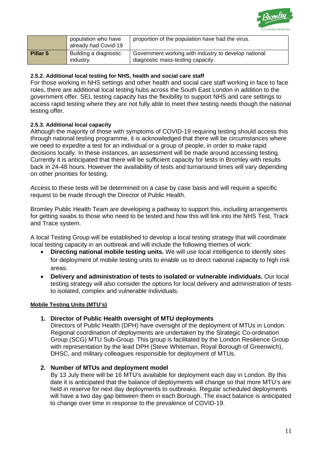

|          | population who have<br>already had Covid-19 | proportion of the population have had the virus.                                          |
|----------|---------------------------------------------|-------------------------------------------------------------------------------------------|
| Pillar 5 | Building a diagnostic<br>industry.          | Government working with industry to develop national<br>diagnostic mass-testing capacity. |

#### **2.5.2. Additional local testing for NHS, health and social care staff**

For those working in NHS settings and other health and social care staff working in face to face roles, there are additional local testing hubs across the South East London in addition to the government offer. SEL testing capacity has the flexibility to support NHS and care settings to access rapid testing where they are not fully able to meet their testing needs though the national testing offer.

#### **2.5.3. Additional local capacity**

Although the majority of those with symptoms of COVID-19 requiring testing should access this through national testing programme, it is acknowledged that there will be circumstances where we need to expedite a test for an individual or a group of people, in order to make rapid decisions locally. In these instances, an assessment will be made around accessing testing. Currently it is anticipated that there will be sufficient capacity for tests in Bromley with results back in 24-48 hours. However the availability of tests and turnaround times will vary depending on other priorities for testing.

Access to these tests will be determined on a case by case basis and will require a specific request to be made through the Director of Public Health.

Bromley Public Health Team are developing a pathway to support this, including arrangements for getting swabs to those who need to be tested and how this will link into the NHS Test, Track and Trace system.

A local Testing Group will be established to develop a local testing strategy that will coordinate local testing capacity in an outbreak and will include the following themes of work:

- **Directing national mobile testing units.** We will use local intelligence to identify sites for deployment of mobile testing units to enable us to direct national capacity to high risk areas.
- **Delivery and administration of tests to isolated or vulnerable individuals.** Our local testing strategy will also consider the options for local delivery and administration of tests to isolated, complex and vulnerable individuals.

#### **Mobile Testing Units (MTU's)**

#### **1. Director of Public Health oversight of MTU deployments**

Directors of Public Health (DPH) have oversight of the deployment of MTUs in London. Regional coordination of deployments are undertaken by the Strategic Co-ordination Group (SCG) MTU Sub-Group. This group is facilitated by the London Resilience Group with representation by the lead DPH (Steve Whiteman, Royal Borough of Greenwich), DHSC, and military colleagues responsible for deployment of MTUs.

#### **2. Number of MTUs and deployment model**

By 13 July there will be 16 MTU's available for deployment each day in London. By this date it is anticipated that the balance of deployments will change so that more MTU's are held in reserve for next day deployments to outbreaks. Regular scheduled deployments will have a two day gap between them in each Borough. The exact balance is anticipated to change over time in response to the prevalence of COVID-19.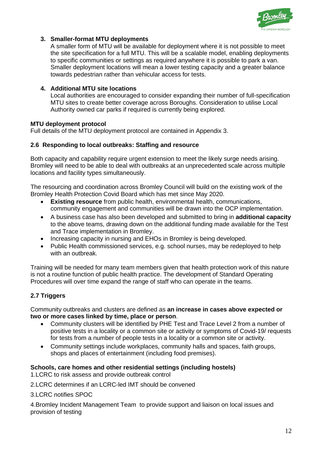

#### **3. Smaller-format MTU deployments**

A smaller form of MTU will be available for deployment where it is not possible to meet the site specification for a full MTU. This will be a scalable model, enabling deployments to specific communities or settings as required anywhere it is possible to park a van. Smaller deployment locations will mean a lower testing capacity and a greater balance towards pedestrian rather than vehicular access for tests.

#### **4. Additional MTU site locations**

Local authorities are encouraged to consider expanding their number of full-specification MTU sites to create better coverage across Boroughs. Consideration to utilise Local Authority owned car parks if required is currently being explored.

#### **MTU deployment protocol**

Full details of the MTU deployment protocol are contained in Appendix 3.

#### **2.6 Responding to local outbreaks: Staffing and resource**

Both capacity and capability require urgent extension to meet the likely surge needs arising. Bromley will need to be able to deal with outbreaks at an unprecedented scale across multiple locations and facility types simultaneously.

The resourcing and coordination across Bromley Council will build on the existing work of the Bromley Health Protection Covid Board which has met since May 2020.

- **Existing resource** from public health, environmental health, communications, community engagement and communities will be drawn into the OCP implementation.
- A business case has also been developed and submitted to bring in **additional capacity**  to the above teams, drawing down on the additional funding made available for the Test and Trace implementation in Bromley.
- Increasing capacity in nursing and EHOs in Bromley is being developed.
- Public Health commissioned services, e.g. school nurses, may be redeployed to help with an outbreak.

Training will be needed for many team members given that health protection work of this nature is not a routine function of public health practice. The development of Standard Operating Procedures will over time expand the range of staff who can operate in the teams.

### **2.7 Triggers**

Community outbreaks and clusters are defined as **an increase in cases above expected or two or more cases linked by time, place or person**.

- Community clusters will be identified by PHE Test and Trace Level 2 from a number of positive tests in a locality or a common site or activity or symptoms of Covid-19/ requests for tests from a number of people tests in a locality or a common site or activity.
- Community settings include workplaces, community halls and spaces, faith groups, shops and places of entertainment (including food premises).

#### **Schools, care homes and other residential settings (including hostels)**

1.LCRC to risk assess and provide outbreak control

2.LCRC determines if an LCRC-led IMT should be convened

3.LCRC notifies SPOC

4.Bromley Incident Management Team to provide support and liaison on local issues and provision of testing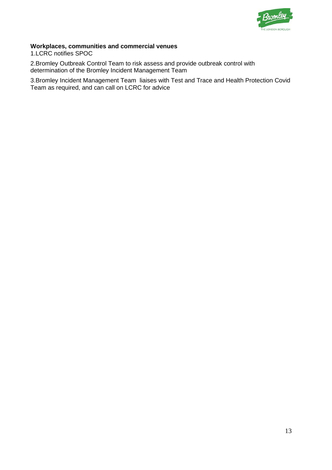

#### **Workplaces, communities and commercial venues**

1.LCRC notifies SPOC

2.Bromley Outbreak Control Team to risk assess and provide outbreak control with determination of the Bromley Incident Management Team

3.Bromley Incident Management Team liaises with Test and Trace and Health Protection Covid Team as required, and can call on LCRC for advice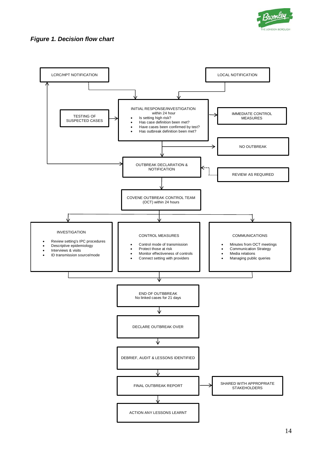

#### *Figure 1. Decision flow chart*

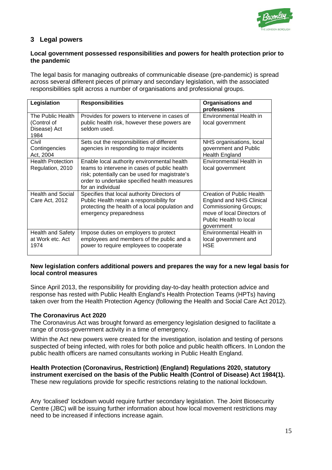

# **3 Legal powers**

#### **Local government possessed responsibilities and powers for health protection prior to the pandemic**

The legal basis for managing outbreaks of communicable disease (pre-pandemic) is spread across several different pieces of primary and secondary legislation, with the associated responsibilities split across a number of organisations and professional groups.

| Legislation                                              | <b>Responsibilities</b>                                                                                                                                                                                            | <b>Organisations and</b><br>professions                                                                                                                     |
|----------------------------------------------------------|--------------------------------------------------------------------------------------------------------------------------------------------------------------------------------------------------------------------|-------------------------------------------------------------------------------------------------------------------------------------------------------------|
| The Public Health<br>(Control of<br>Disease) Act<br>1984 | Provides for powers to intervene in cases of<br>public health risk, however these powers are<br>seldom used.                                                                                                       | Environmental Health in<br>local government                                                                                                                 |
| Civil<br>Contingencies<br>Act, 2004                      | Sets out the responsibilities of different<br>agencies in responding to major incidents                                                                                                                            | NHS organisations, local<br>government and Public<br>Health England                                                                                         |
| <b>Health Protection</b><br>Regulation, 2010             | Enable local authority environmental health<br>teams to intervene in cases of public health<br>risk; potentially can be used for magistrate's<br>order to undertake specified health measures<br>for an individual | Environmental Health in<br>local government                                                                                                                 |
| <b>Health and Social</b><br>Care Act, 2012               | Specifies that local authority Directors of<br>Public Health retain a responsibility for<br>protecting the health of a local population and<br>emergency preparedness                                              | Creation of Public Health<br><b>England and NHS Clinical</b><br>Commissioning Groups;<br>move of local Directors of<br>Public Health to local<br>government |
| Health and Safety<br>at Work etc. Act<br>1974            | Impose duties on employers to protect<br>employees and members of the public and a<br>power to require employees to cooperate                                                                                      | Environmental Health in<br>local government and<br>HSE                                                                                                      |

#### **New legislation confers additional powers and prepares the way for a new legal basis for local control measures**

Since April 2013, the responsibility for providing day-to-day health protection advice and response has rested with Public Health England's Health Protection Teams (HPTs) having taken over from the Health Protection Agency (following the Health and Social Care Act 2012).

#### **The Coronavirus Act 2020**

The Coronavirus Act was brought forward as emergency legislation designed to facilitate a range of cross-government activity in a time of emergency.

Within the Act new powers were created for the investigation, isolation and testing of persons suspected of being infected, with roles for both police and public health officers. In London the public health officers are named consultants working in Public Health England.

**Health Protection (Coronavirus, Restriction) (England) Regulations 2020, statutory instrument exercised on the basis of the Public Health (Control of Disease) Act 1984(1).**  These new regulations provide for specific restrictions relating to the national lockdown.

Any 'localised' lockdown would require further secondary legislation. The Joint Biosecurity Centre (JBC) will be issuing further information about how local movement restrictions may need to be increased if infections increase again.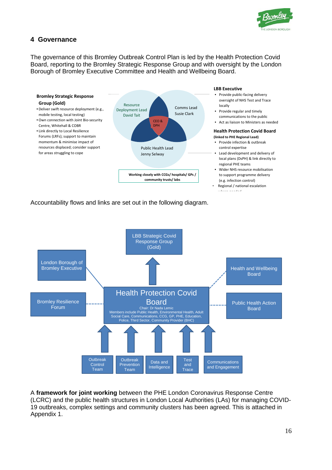

# **4 Governance**

The governance of this Bromley Outbreak Control Plan is led by the Health Protection Covid Board, reporting to the Bromley Strategic Response Group and with oversight by the London Borough of Bromley Executive Committee and Health and Wellbeing Board.



Accountability flows and links are set out in the following diagram.



A **framework for joint working** between the PHE London Coronavirus Response Centre (LCRC) and the public health structures in London Local Authorities (LAs) for managing COVID-19 outbreaks, complex settings and community clusters has been agreed. This is attached in Appendix 1.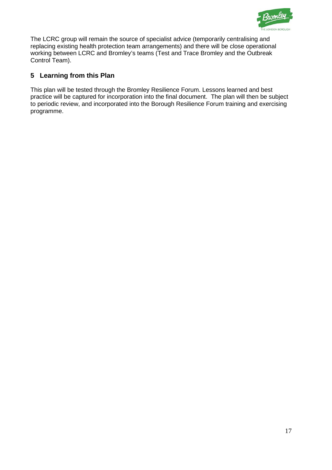

The LCRC group will remain the source of specialist advice (temporarily centralising and replacing existing health protection team arrangements) and there will be close operational working between LCRC and Bromley's teams (Test and Trace Bromley and the Outbreak Control Team).

# **5 Learning from this Plan**

This plan will be tested through the Bromley Resilience Forum. Lessons learned and best practice will be captured for incorporation into the final document. The plan will then be subject to periodic review, and incorporated into the Borough Resilience Forum training and exercising programme.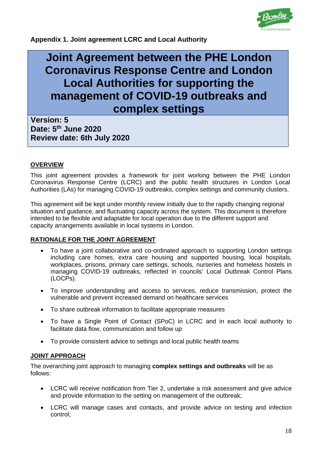

**Appendix 1. Joint agreement LCRC and Local Authority**

# **Joint Agreement between the PHE London Coronavirus Response Centre and London Local Authorities for supporting the management of COVID-19 outbreaks and complex settings**

**Version: 5 Date: 5th June 2020 Review date: 6th July 2020**

#### **OVERVIEW**

This joint agreement provides a framework for joint working between the PHE London Coronavirus Response Centre (LCRC) and the public health structures in London Local Authorities (LAs) for managing COVID-19 outbreaks, complex settings and community clusters.

This agreement will be kept under monthly review initially due to the rapidly changing regional situation and guidance, and fluctuating capacity across the system. This document is therefore intended to be flexible and adaptable for local operation due to the different support and capacity arrangements available in local systems in London.

#### **RATIONALE FOR THE JOINT AGREEMENT**

- To have a joint collaborative and co-ordinated approach to supporting London settings including care homes, extra care housing and supported housing, local hospitals, workplaces, prisons, primary care settings, schools, nurseries and homeless hostels in managing COVID-19 outbreaks, reflected in councils' Local Outbreak Control Plans (LOCPs).
- To improve understanding and access to services, reduce transmission, protect the vulnerable and prevent increased demand on healthcare services
- To share outbreak information to facilitate appropriate measures
- To have a Single Point of Contact (SPoC) in LCRC and in each local authority to facilitate data flow, communication and follow up
- To provide consistent advice to settings and local public health teams

### **JOINT APPROACH**

The overarching joint approach to managing **complex settings and outbreaks** will be as follows:

- LCRC will receive notification from Tier 2, undertake a risk assessment and give advice and provide information to the setting on management of the outbreak;
- LCRC will manage cases and contacts, and provide advice on testing and infection control;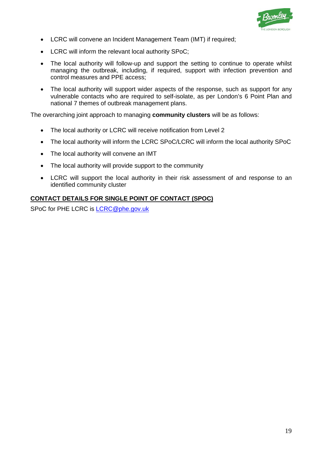

- LCRC will convene an Incident Management Team (IMT) if required;
- LCRC will inform the relevant local authority SPoC;
- The local authority will follow-up and support the setting to continue to operate whilst managing the outbreak, including, if required, support with infection prevention and control measures and PPE access;
- The local authority will support wider aspects of the response, such as support for any vulnerable contacts who are required to self-isolate, as per London's 6 Point Plan and national 7 themes of outbreak management plans.

The overarching joint approach to managing **community clusters** will be as follows:

- The local authority or LCRC will receive notification from Level 2
- The local authority will inform the LCRC SPoC/LCRC will inform the local authority SPoC
- The local authority will convene an IMT
- The local authority will provide support to the community
- LCRC will support the local authority in their risk assessment of and response to an identified community cluster

#### **CONTACT DETAILS FOR SINGLE POINT OF CONTACT (SPOC)**

SPoC for PHE LCRC is [LCRC@phe.gov.uk](mailto:LCRC@phe.gov.uk)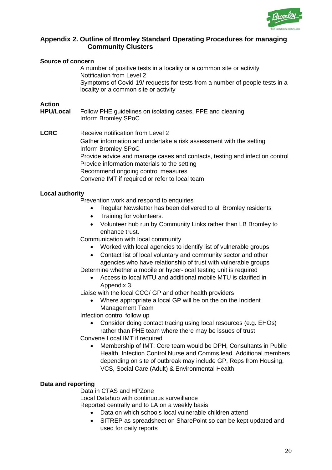

## **Appendix 2. Outline of Bromley Standard Operating Procedures for managing Community Clusters**

| <b>Source of concern</b>   |                                                                                                                                                                                                                            |
|----------------------------|----------------------------------------------------------------------------------------------------------------------------------------------------------------------------------------------------------------------------|
|                            | A number of positive tests in a locality or a common site or activity<br>Notification from Level 2<br>Symptoms of Covid-19/ requests for tests from a number of people tests in a<br>locality or a common site or activity |
|                            |                                                                                                                                                                                                                            |
| Action<br><b>HPU/Local</b> | Follow PHE guidelines on isolating cases, PPE and cleaning                                                                                                                                                                 |
|                            | Inform Bromley SPoC                                                                                                                                                                                                        |
|                            |                                                                                                                                                                                                                            |
| <b>LCRC</b>                | Receive notification from Level 2                                                                                                                                                                                          |
|                            | Gather information and undertake a risk assessment with the setting<br>Inform Bromley SPoC                                                                                                                                 |
|                            | Provide advice and manage cases and contacts, testing and infection control                                                                                                                                                |
|                            | Provide information materials to the setting                                                                                                                                                                               |
|                            | Recommend ongoing control measures                                                                                                                                                                                         |
|                            | Convene IMT if required or refer to local team                                                                                                                                                                             |
| <b>Local authority</b>     |                                                                                                                                                                                                                            |
|                            | Dana da a tha anns an chun an chuid ann an chuid ann an chuid                                                                                                                                                              |

Prevention work and respond to enquiries

- Regular Newsletter has been delivered to all Bromley residents
- Training for volunteers.
- Volunteer hub run by Community Links rather than LB Bromley to enhance trust.

Communication with local community

- Worked with local agencies to identify list of vulnerable groups
- Contact list of local voluntary and community sector and other agencies who have relationship of trust with vulnerable groups
- Determine whether a mobile or hyper-local testing unit is required
	- Access to local MTU and additional mobile MTU is clarified in Appendix 3.

Liaise with the local CCG/ GP and other health providers

• Where appropriate a local GP will be on the on the Incident Management Team

Infection control follow up

- Consider doing contact tracing using local resources (e.g. EHOs) rather than PHE team where there may be issues of trust
- Convene Local IMT if required
	- Membership of IMT: Core team would be DPH, Consultants in Public Health, Infection Control Nurse and Comms lead. Additional members depending on site of outbreak may include GP, Reps from Housing, VCS, Social Care (Adult) & Environmental Health

### **Data and reporting**

Data in CTAS and HPZone Local Datahub with continuous surveillance

Reported centrally and to LA on a weekly basis

- Data on which schools local vulnerable children attend
- SITREP as spreadsheet on SharePoint so can be kept updated and used for daily reports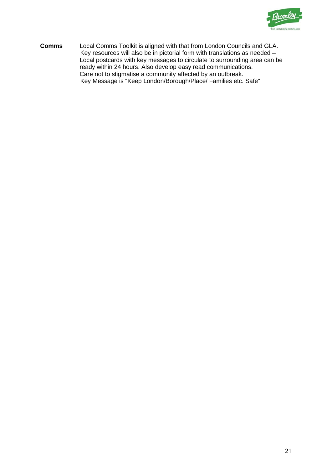

**Comms** Local Comms Toolkit is aligned with that from London Councils and GLA. Key resources will also be in pictorial form with translations as needed – Local postcards with key messages to circulate to surrounding area can be ready within 24 hours. Also develop easy read communications. Care not to stigmatise a community affected by an outbreak. Key Message is "Keep London/Borough/Place/ Families etc. Safe"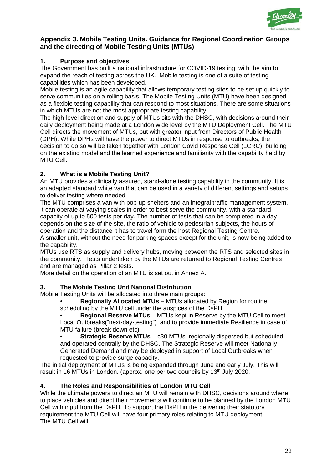

# **Appendix 3. Mobile Testing Units. Guidance for Regional Coordination Groups and the directing of Mobile Testing Units (MTUs)**

# **1. Purpose and objectives**

The Government has built a national infrastructure for COVID-19 testing, with the aim to expand the reach of testing across the UK. Mobile testing is one of a suite of testing capabilities which has been developed.

Mobile testing is an agile capability that allows temporary testing sites to be set up quickly to serve communities on a rolling basis. The Mobile Testing Units (MTU) have been designed as a flexible testing capability that can respond to most situations. There are some situations in which MTUs are not the most appropriate testing capability.

The high-level direction and supply of MTUs sits with the DHSC, with decisions around their daily deployment being made at a London wide level by the MTU Deployment Cell. The MTU Cell directs the movement of MTUs, but with greater input from Directors of Public Health (DPH). While DPHs will have the power to direct MTUs in response to outbreaks, the decision to do so will be taken together with London Covid Response Cell (LCRC), building on the existing model and the learned experience and familiarity with the capability held by MTU Cell.

# **2. What is a Mobile Testing Unit?**

An MTU provides a clinically assured, stand-alone testing capability in the community. It is an adapted standard white van that can be used in a variety of different settings and setups to deliver testing where needed

The MTU comprises a van with pop-up shelters and an integral traffic management system. It can operate at varying scales in order to best serve the community, with a standard capacity of up to 500 tests per day. The number of tests that can be completed in a day depends on the size of the site, the ratio of vehicle to pedestrian subjects, the hours of operation and the distance it has to travel form the host Regional Testing Centre.

A smaller unit, without the need for parking spaces except for the unit, is now being added to the capability.

MTUs use RTS as supply and delivery hubs, moving between the RTS and selected sites in the community. Tests undertaken by the MTUs are returned to Regional Testing Centres and are managed as Pillar 2 tests.

More detail on the operation of an MTU is set out in Annex A.

# **3. The Mobile Testing Unit National Distribution**

Mobile Testing Units will be allocated into three main groups:

• **Regionally Allocated MTUs** – MTUs allocated by Region for routine scheduling by the MTU cell under the auspices of the DsPH

• **Regional Reserve MTUs** – MTUs kept in Reserve by the MTU Cell to meet Local Outbreaks("next-day-testing") and to provide immediate Resilience in case of MTU failure (break down etc)

**Strategic Reserve MTUs** – c30 MTUs, regionally dispersed but scheduled and operated centrally by the DHSC. The Strategic Reserve will meet Nationally Generated Demand and may be deployed in support of Local Outbreaks when requested to provide surge capacity.

The initial deployment of MTUs is being expanded through June and early July. This will result in 16 MTUs in London. (approx. one per two councils by 13<sup>th</sup> July 2020.

# **4. The Roles and Responsibilities of London MTU Cell**

While the ultimate powers to direct an MTU will remain with DHSC, decisions around where to place vehicles and direct their movements will continue to be planned by the London MTU Cell with input from the DsPH. To support the DsPH in the delivering their statutory requirement the MTU Cell will have four primary roles relating to MTU deployment: The MTU Cell will: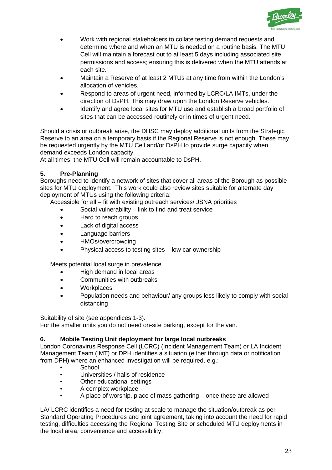

- Work with regional stakeholders to collate testing demand requests and determine where and when an MTU is needed on a routine basis. The MTU Cell will maintain a forecast out to at least 5 days including associated site permissions and access; ensuring this is delivered when the MTU attends at each site.
- Maintain a Reserve of at least 2 MTUs at any time from within the London's allocation of vehicles.
- Respond to areas of urgent need, informed by LCRC/LA IMTs, under the direction of DsPH. This may draw upon the London Reserve vehicles.
- Identify and agree local sites for MTU use and establish a broad portfolio of sites that can be accessed routinely or in times of urgent need.

Should a crisis or outbreak arise, the DHSC may deploy additional units from the Strategic Reserve to an area on a temporary basis if the Regional Reserve is not enough. These may be requested urgently by the MTU Cell and/or DsPH to provide surge capacity when demand exceeds London capacity.

At all times, the MTU Cell will remain accountable to DsPH.

#### **5. Pre-Planning**

Boroughs need to identify a network of sites that cover all areas of the Borough as possible sites for MTU deployment. This work could also review sites suitable for alternate day deployment of MTUs using the following criteria:

Accessible for all – fit with existing outreach services/ JSNA priorities

- Social vulnerability link to find and treat service
- Hard to reach groups
- Lack of digital access
- Language barriers
- HMOs/overcrowding
- Physical access to testing sites low car ownership

Meets potential local surge in prevalence

- High demand in local areas
- Communities with outbreaks
- Workplaces
- Population needs and behaviour/ any groups less likely to comply with social distancing

Suitability of site (see appendices 1-3).

For the smaller units you do not need on-site parking, except for the van.

#### **6. Mobile Testing Unit deployment for large local outbreaks**

London Coronavirus Response Cell (LCRC) (Incident Management Team) or LA Incident Management Team (IMT) or DPH identifies a situation (either through data or notification from DPH) where an enhanced investigation will be required, e.g.:

- **School**
- Universities / halls of residence
- Other educational settings
- A complex workplace
- A place of worship, place of mass gathering once these are allowed

LA/ LCRC identifies a need for testing at scale to manage the situation/outbreak as per Standard Operating Procedures and joint agreement, taking into account the need for rapid testing, difficulties accessing the Regional Testing Site or scheduled MTU deployments in the local area, convenience and accessibility.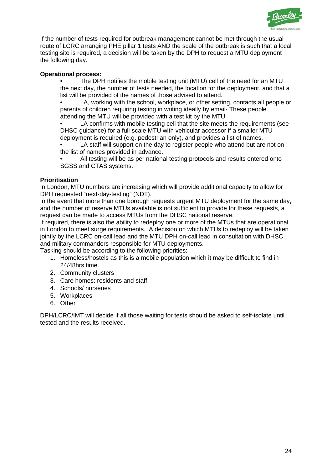

If the number of tests required for outbreak management cannot be met through the usual route of LCRC arranging PHE pillar 1 tests AND the scale of the outbreak is such that a local testing site is required, a decision will be taken by the DPH to request a MTU deployment the following day.

#### **Operational process:**

• The DPH notifies the mobile testing unit (MTU) cell of the need for an MTU the next day, the number of tests needed, the location for the deployment, and that a list will be provided of the names of those advised to attend.

• LA, working with the school, workplace, or other setting, contacts all people or parents of children requiring testing in writing ideally by email· These people attending the MTU will be provided with a test kit by the MTU.

LA confirms with mobile testing cell that the site meets the requirements (see DHSC guidance) for a full-scale MTU with vehicular accessor if a smaller MTU deployment is required (e.g. pedestrian only), and provides a list of names.

LA staff will support on the day to register people who attend but are not on the list of names provided in advance.

All testing will be as per national testing protocols and results entered onto SGSS and CTAS systems.

#### **Prioritisation**

In London, MTU numbers are increasing which will provide additional capacity to allow for DPH requested "next-day-testing" (NDT).

In the event that more than one borough requests urgent MTU deployment for the same day, and the number of reserve MTUs available is not sufficient to provide for these requests, a request can be made to access MTUs from the DHSC national reserve.

If required, there is also the ability to redeploy one or more of the MTUs that are operational in London to meet surge requirements. A decision on which MTUs to redeploy will be taken jointly by the LCRC on-call lead and the MTU DPH on-call lead in consultation with DHSC and military commanders responsible for MTU deployments.

Tasking should be according to the following priorities:

- 1. Homeless/hostels as this is a mobile population which it may be difficult to find in 24/48hrs time.
- 2. Community clusters
- 3. Care homes: residents and staff
- 4. Schools/ nurseries
- 5. Workplaces
- 6. Other

DPH/LCRC/IMT will decide if all those waiting for tests should be asked to self-isolate until tested and the results received.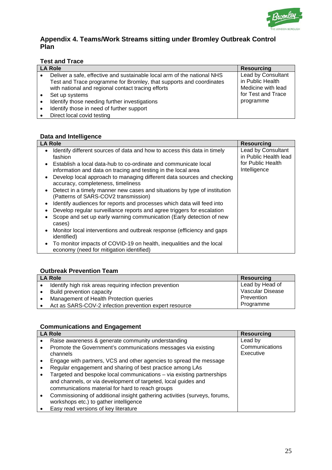

# **Appendix 4. Teams/Work Streams sitting under Bromley Outbreak Control Plan**

# **Test and Trace**

| <b>LA Role</b> |                                                                                                                                                                                                      | <b>Resourcing</b>                                            |
|----------------|------------------------------------------------------------------------------------------------------------------------------------------------------------------------------------------------------|--------------------------------------------------------------|
|                | Deliver a safe, effective and sustainable local arm of the national NHS<br>Test and Trace programme for Bromley, that supports and coordinates<br>with national and regional contact tracing efforts | Lead by Consultant<br>in Public Health<br>Medicine with lead |
|                | Set up systems                                                                                                                                                                                       | for Test and Trace                                           |
|                | Identify those needing further investigations                                                                                                                                                        | programme                                                    |
|                | Identify those in need of further support                                                                                                                                                            |                                                              |
|                | Direct local covid testing                                                                                                                                                                           |                                                              |

# **Data and Intelligence**

| <b>LA Role</b>                                                                                                                                                                                                                                                                                                                                                                                                                                                                                                                                                                                                                                                                                                                                                                                                                                                                           | <b>Resourcing</b>                                                                |
|------------------------------------------------------------------------------------------------------------------------------------------------------------------------------------------------------------------------------------------------------------------------------------------------------------------------------------------------------------------------------------------------------------------------------------------------------------------------------------------------------------------------------------------------------------------------------------------------------------------------------------------------------------------------------------------------------------------------------------------------------------------------------------------------------------------------------------------------------------------------------------------|----------------------------------------------------------------------------------|
| Identify different sources of data and how to access this data in timely<br>fashion<br>Establish a local data-hub to co-ordinate and communicate local<br>information and data on tracing and testing in the local area<br>Develop local approach to managing different data sources and checking<br>$\bullet$<br>accuracy, completeness, timeliness<br>Detect in a timely manner new cases and situations by type of institution<br>(Patterns of SARS-COV2 transmission)<br>Identify audiences for reports and processes which data will feed into<br>Develop regular surveillance reports and agree triggers for escalation<br>Scope and set up early warning communication (Early detection of new<br>cases)<br>Monitor local interventions and outbreak response (efficiency and gaps<br><i>identified</i> )<br>To monitor impacts of COVID-19 on health, inequalities and the local | Lead by Consultant<br>in Public Health lead<br>for Public Health<br>Intelligence |
| economy (need for mitigation identified)                                                                                                                                                                                                                                                                                                                                                                                                                                                                                                                                                                                                                                                                                                                                                                                                                                                 |                                                                                  |

#### **Outbreak Prevention Team**

| <b>LA Role</b> |                                                         | <b>Resourcing</b> |
|----------------|---------------------------------------------------------|-------------------|
|                | Identify high risk areas requiring infection prevention | Lead by Head of   |
|                | Build prevention capacity                               | Vascular Disease  |
|                | Management of Health Protection queries                 | Prevention        |
|                | Act as SARS-COV-2 infection prevention expert resource  | Programme         |

#### **Communications and Engagement**

| <b>LA Role</b>                                                                                                     | <b>Resourcing</b>           |
|--------------------------------------------------------------------------------------------------------------------|-----------------------------|
| Raise awareness & generate community understanding<br>٠                                                            | Lead by                     |
| Promote the Government's communications messages via existing<br>$\bullet$<br>channels                             | Communications<br>Executive |
| Engage with partners, VCS and other agencies to spread the message<br>٠                                            |                             |
| Regular engagement and sharing of best practice among LAs<br>$\bullet$                                             |                             |
| Targeted and bespoke local communications - via existing partnerships<br>$\bullet$                                 |                             |
| and channels, or via development of targeted, local guides and<br>communications material for hard to reach groups |                             |
| Commissioning of additional insight gathering activities (surveys, forums,<br>$\bullet$                            |                             |
| workshops etc.) to gather intelligence                                                                             |                             |
| Easy read versions of key literature                                                                               |                             |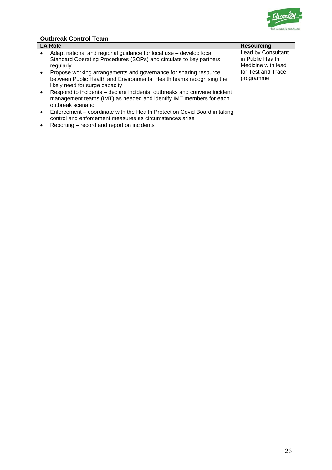

# **Outbreak Control Team**

| <b>LA Role</b> |                                                                                 | <b>Resourcing</b>                      |
|----------------|---------------------------------------------------------------------------------|----------------------------------------|
|                | Adapt national and regional guidance for local use - develop local              | Lead by Consultant<br>in Public Health |
|                | Standard Operating Procedures (SOPs) and circulate to key partners<br>regularly | Medicine with lead                     |
| $\bullet$      | Propose working arrangements and governance for sharing resource                | for Test and Trace                     |
|                | between Public Health and Environmental Health teams recognising the            | programme                              |
|                | likely need for surge capacity                                                  |                                        |
|                | Respond to incidents – declare incidents, outbreaks and convene incident        |                                        |
|                | management teams (IMT) as needed and identify IMT members for each              |                                        |
|                | outbreak scenario                                                               |                                        |
| $\bullet$      | Enforcement – coordinate with the Health Protection Covid Board in taking       |                                        |
|                | control and enforcement measures as circumstances arise                         |                                        |
|                | Reporting – record and report on incidents                                      |                                        |